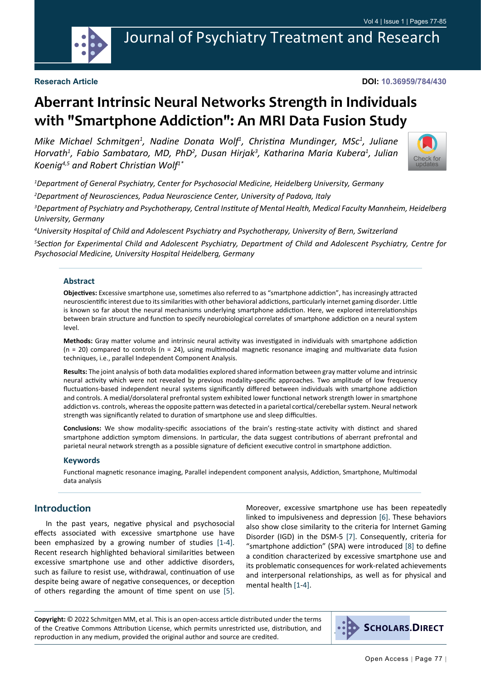

Journal of Psychiatry Treatment and Research

**DOI: 10.36959/784/430**

# **Aberrant Intrinsic Neural Networks Strength in Individuals with "Smartphone Addiction": An MRI Data Fusion Study**

Mike Michael Schmitgen<sup>1</sup>, Nadine Donata Wolf<sup>1</sup>, Christina Mundinger, MSc<sup>1</sup>, Juliane *Horvath1 , Fabio Sambataro, MD, PhD2 , Dusan Hirjak<sup>3</sup> , Katharina Maria Kubera<sup>1</sup> , Julian Koenig4,5 and Robert Christian Wolf1\**



*1 Department of General Psychiatry, Center for Psychosocial Medicine, Heidelberg University, Germany*

*2 Department of Neurosciences, Padua Neuroscience Center, University of Padova, Italy*

*3 Department of Psychiatry and Psychotherapy, Central Institute of Mental Health, Medical Faculty Mannheim, Heidelberg University, Germany*

*4 University Hospital of Child and Adolescent Psychiatry and Psychotherapy, University of Bern, Switzerland*

*5 Section for Experimental Child and Adolescent Psychiatry, Department of Child and Adolescent Psychiatry, Centre for Psychosocial Medicine, University Hospital Heidelberg, Germany*

#### **Abstract**

**Objectives:** Excessive smartphone use, sometimes also referred to as "smartphone addiction", has increasingly attracted neuroscientific interest due to its similarities with other behavioral addictions, particularly internet gaming disorder. Little is known so far about the neural mechanisms underlying smartphone addiction. Here, we explored interrelationships between brain structure and function to specify neurobiological correlates of smartphone addiction on a neural system level.

**Methods:** Gray matter volume and intrinsic neural activity was investigated in individuals with smartphone addiction  $(n = 20)$  compared to controls  $(n = 24)$ , using multimodal magnetic resonance imaging and multivariate data fusion techniques, i.e., parallel Independent Component Analysis.

**Results:** The joint analysis of both data modalities explored shared information between gray matter volume and intrinsic neural activity which were not revealed by previous modality-specific approaches. Two amplitude of low frequency fluctuations-based independent neural systems significantly differed between individuals with smartphone addiction and controls. A medial/dorsolateral prefrontal system exhibited lower functional network strength lower in smartphone addiction vs. controls, whereas the opposite pattern was detected in a parietal cortical/cerebellar system. Neural network strength was significantly related to duration of smartphone use and sleep difficulties.

**Conclusions:** We show modality-specific associations of the brain's resting-state activity with distinct and shared smartphone addiction symptom dimensions. In particular, the data suggest contributions of aberrant prefrontal and parietal neural network strength as a possible signature of deficient executive control in smartphone addiction.

#### **Keywords**

Functional magnetic resonance imaging, Parallel independent component analysis, Addiction, Smartphone, Multimodal data analysis

#### **Introduction**

In the past years, negative physical and psychosocial effects associated with excessive smartphone use have been emphasized by a growing number of studies [[1-](#page-7-0)[4\]](#page-7-1). Recent research highlighted behavioral similarities between excessive smartphone use and other addictive disorders, such as failure to resist use, withdrawal, continuation of use despite being aware of negative consequences, or deception of others regarding the amount of time spent on use [[5\]](#page-7-2).

Moreover, excessive smartphone use has been repeatedly linked to impulsiveness and depression [\[6\]](#page-7-3). These behaviors also show close similarity to the criteria for Internet Gaming Disorder (IGD) in the DSM-5 [[7\]](#page-7-4). Consequently, criteria for "smartphone addiction" (SPA) were introduced [[8\]](#page-7-5) to define a condition characterized by excessive smartphone use and its problematic consequences for work-related achievements and interpersonal relationships, as well as for physical and mental health [[1-](#page-7-0)[4](#page-7-1)].

**Copyright:** © 2022 Schmitgen MM, et al. This is an open-access article distributed under the terms of the Creative Commons Attribution License, which permits unrestricted use, distribution, and reproduction in any medium, provided the original author and source are credited.

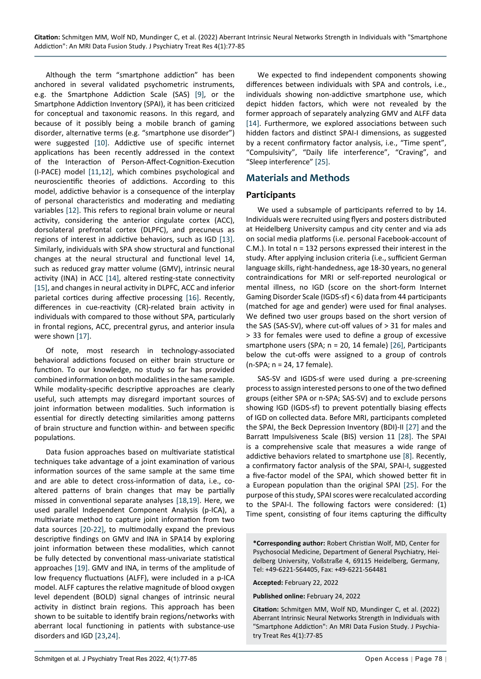Although the term "smartphone addiction" has been anchored in several validated psychometric instruments, e.g. the Smartphone Addiction Scale (SAS) [\[9](#page-7-6)], or the Smartphone Addiction Inventory (SPAI), it has been criticized for conceptual and taxonomic reasons. In this regard, and because of it possibly being a mobile branch of gaming disorder, alternative terms (e.g. "smartphone use disorder") were suggested [[10\]](#page-8-0). Addictive use of specific internet applications has been recently addressed in the context of the Interaction of Person-Affect-Cognition-Execution (I-PACE) model [[11,](#page-8-1)[12](#page-8-2)], which combines psychological and neuroscientific theories of addictions. According to this model, addictive behavior is a consequence of the interplay of personal characteristics and moderating and mediating variables [[12\]](#page-8-2). This refers to regional brain volume or neural activity, considering the anterior cingulate cortex (ACC), dorsolateral prefrontal cortex (DLPFC), and precuneus as regions of interest in addictive behaviors, such as IGD [[13\]](#page-8-3). Similarly, individuals with SPA show structural and functional changes at the neural structural and functional level 14, such as reduced gray matter volume (GMV), intrinsic neural activity (INA) in ACC [\[14](#page-8-4)], altered resting-state connectivity [[15\]](#page-8-5), and changes in neural activity in DLPFC, ACC and inferior parietal cortices during affective processing [\[16](#page-8-6)]. Recently, differences in cue-reactivity (CR)-related brain activity in individuals with compared to those without SPA, particularly in frontal regions, ACC, precentral gyrus, and anterior insula were shown [[17\]](#page-8-7).

Of note, most research in technology-associated behavioral addictions focused on either brain structure or function. To our knowledge, no study so far has provided combined information on both modalities in the same sample. While modality-specific descriptive approaches are clearly useful, such attempts may disregard important sources of joint information between modalities. Such information is essential for directly detecting similarities among patterns of brain structure and function within- and between specific populations.

Data fusion approaches based on multivariate statistical techniques take advantage of a joint examination of various information sources of the same sample at the same time and are able to detect cross-information of data, i.e., coaltered patterns of brain changes that may be partially missed in conventional separate analyses [\[18](#page-8-8),[19\]](#page-8-9). Here, we used parallel Independent Component Analysis (p-ICA), a multivariate method to capture joint information from two data sources [\[20](#page-8-10)-[22\]](#page-8-11), to multimodally expand the previous descriptive findings on GMV and INA in SPA14 by exploring joint information between these modalities, which cannot be fully detected by conventional mass-univariate statistical approaches [\[19\]](#page-8-9). GMV and INA, in terms of the amplitude of low frequency fluctuations (ALFF), were included in a p-ICA model. ALFF captures the relative magnitude of blood oxygen level dependent (BOLD) signal changes of intrinsic neural activity in distinct brain regions. This approach has been shown to be suitable to identify brain regions/networks with aberrant local functioning in patients with substance-use disorders and IGD [\[23,](#page-8-12)[24](#page-8-13)].

We expected to find independent components showing differences between individuals with SPA and controls, i.e., individuals showing non-addictive smartphone use, which depict hidden factors, which were not revealed by the former approach of separately analyzing GMV and ALFF data [[14\]](#page-8-4). Furthermore, we explored associations between such hidden factors and distinct SPAI-I dimensions, as suggested by a recent confirmatory factor analysis, i.e., "Time spent", "Compulsivity", "Daily life interference", "Craving", and "Sleep interference" [\[25](#page-8-14)].

#### **Materials and Methods**

#### **Participants**

We used a subsample of participants referred to by 14. Individuals were recruited using flyers and posters distributed at Heidelberg University campus and city center and via ads on social media platforms (i.e. personal Facebook-account of C.M.). In total n = 132 persons expressed their interest in the study. After applying inclusion criteria (i.e., sufficient German language skills, right-handedness, age 18-30 years, no general contraindications for MRI or self-reported neurological or mental illness, no IGD (score on the short-form Internet Gaming Disorder Scale (IGDS-sf) < 6) data from 44 participants (matched for age and gender) were used for final analyses. We defined two user groups based on the short version of the SAS (SAS-SV), where cut-off values of > 31 for males and > 33 for females were used to define a group of excessive smartphone users (SPA; n = 20, 14 female) [\[26](#page-8-15)], Participants below the cut-offs were assigned to a group of controls (n-SPA; n = 24, 17 female).

SAS-SV and IGDS-sf were used during a pre-screening process to assign interested persons to one of the two defined groups (either SPA or n-SPA; SAS-SV) and to exclude persons showing IGD (IGDS-sf) to prevent potentially biasing effects of IGD on collected data. Before MRI, participants completed the SPAI, the Beck Depression Inventory (BDI)-II [[27\]](#page-8-16) and the Barratt Impulsiveness Scale (BIS) version 11 [\[28](#page-8-17)]. The SPAI is a comprehensive scale that measures a wide range of addictive behaviors related to smartphone use [[8\]](#page-7-5). Recently, a confirmatory factor analysis of the SPAI, SPAI-I, suggested a five-factor model of the SPAI, which showed better fit in a European population than the original SPAI [[25\]](#page-8-14). For the purpose of this study, SPAI scores were recalculated according to the SPAI-I. The following factors were considered: (1) Time spent, consisting of four items capturing the difficulty

**\*Corresponding author:** Robert Christian Wolf, MD, Center for Psychosocial Medicine, Department of General Psychiatry, Heidelberg University, Voßstraße 4, 69115 Heidelberg, Germany, Tel: +49-6221-564405, Fax: +49-6221-564481

**Accepted:** February 22, 2022

**Published online:** February 24, 2022

**Citation:** Schmitgen MM, Wolf ND, Mundinger C, et al. (2022) Aberrant Intrinsic Neural Networks Strength in Individuals with "Smartphone Addiction": An MRI Data Fusion Study. J Psychiatry Treat Res 4(1):77-85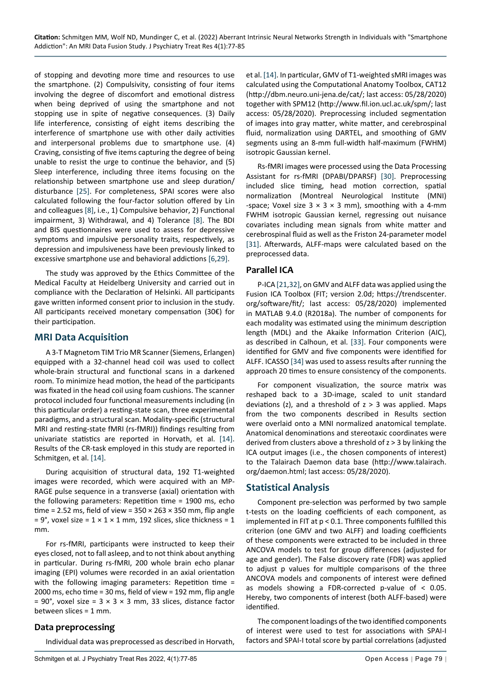of stopping and devoting more time and resources to use the smartphone. (2) Compulsivity, consisting of four items involving the degree of discomfort and emotional distress when being deprived of using the smartphone and not stopping use in spite of negative consequences. (3) Daily life interference, consisting of eight items describing the interference of smartphone use with other daily activities and interpersonal problems due to smartphone use. (4) Craving, consisting of five items capturing the degree of being unable to resist the urge to continue the behavior, and (5) Sleep interference, including three items focusing on the relationship between smartphone use and sleep duration/ disturbance [[25\]](#page-8-14). For completeness, SPAI scores were also calculated following the four-factor solution offered by Lin and colleagues [[8](#page-7-5)], i.e., 1) Compulsive behavior, 2) Functional impairment, 3) Withdrawal, and 4) Tolerance [\[8](#page-7-5)]. The BDI and BIS questionnaires were used to assess for depressive symptoms and impulsive personality traits, respectively, as depression and impulsiveness have been previously linked to excessive smartphone use and behavioral addictions [\[6](#page-7-3),[29\]](#page-8-24).

The study was approved by the Ethics Committee of the Medical Faculty at Heidelberg University and carried out in compliance with the Declaration of Helsinki. All participants gave written informed consent prior to inclusion in the study. All participants received monetary compensation (30€) for their participation.

#### **MRI Data Acquisition**

A 3-T Magnetom TIM Trio MR Scanner (Siemens, Erlangen) equipped with a 32-channel head coil was used to collect whole-brain structural and functional scans in a darkened room. To minimize head motion, the head of the participants was fixated in the head coil using foam cushions. The scanner protocol included four functional measurements including (in this particular order) a resting-state scan, three experimental paradigms, and a structural scan. Modality-specific (structural MRI and resting-state fMRI (rs-fMRI)) findings resulting from univariate statistics are reported in Horvath, et al. [[14\]](#page-8-4). Results of the CR-task employed in this study are reported in Schmitgen, et al. [\[14\]](#page-8-4).

During acquisition of structural data, 192 T1-weighted images were recorded, which were acquired with an MP-RAGE pulse sequence in a transverse (axial) orientation with the following parameters: Repetition time = 1900 ms, echo time = 2.52 ms, field of view =  $350 \times 263 \times 350$  mm, flip angle  $= 9^{\circ}$ , voxel size = 1 × 1 × 1 mm, 192 slices, slice thickness = 1 mm.

For rs-fMRI, participants were instructed to keep their eyes closed, not to fall asleep, and to not think about anything in particular. During rs-fMRI, 200 whole brain echo planar imaging (EPI) volumes were recorded in an axial orientation with the following imaging parameters: Repetition time = 2000 ms, echo time = 30 ms, field of view = 192 mm, flip angle = 90°, voxel size =  $3 \times 3 \times 3$  mm, 33 slices, distance factor between slices = 1 mm.

#### **Data preprocessing**

Individual data was preprocessed as described in Horvath,

et al. [\[14](#page-8-4)]. In particular, GMV of T1-weighted sMRI images was calculated using the Computational Anatomy Toolbox, CAT12 (http://dbm.neuro.uni-jena.de/cat/; last access: 05/28/2020) together with SPM12 (http://www.fil.ion.ucl.ac.uk/spm/; last access: 05/28/2020). Preprocessing included segmentation of images into gray matter, white matter, and cerebrospinal fluid, normalization using DARTEL, and smoothing of GMV segments using an 8-mm full-width half-maximum (FWHM) isotropic Gaussian kernel.

Rs-fMRI images were processed using the Data Processing Assistant for rs-fMRI (DPABI/DPARSF) [[30\]](#page-8-18). Preprocessing included slice timing, head motion correction, spatial normalization (Montreal Neurological Institute (MNI) -space; Voxel size  $3 \times 3 \times 3$  mm), smoothing with a 4-mm FWHM isotropic Gaussian kernel, regressing out nuisance covariates including mean signals from white matter and cerebrospinal fluid as well as the Friston 24-parameter model [[31\]](#page-8-19). Afterwards, ALFF-maps were calculated based on the preprocessed data.

#### **Parallel ICA**

P-ICA [\[21,](#page-8-20)[32](#page-8-21)], on GMV and ALFF data was applied using the Fusion ICA Toolbox (FIT; version 2.0d; https://trendscenter. org/software/fit/; last access: 05/28/2020) implemented in MATLAB 9.4.0 (R2018a). The number of components for each modality was estimated using the minimum description length (MDL) and the Akaike Information Criterion (AIC), as described in Calhoun, et al. [\[33](#page-8-22)]. Four components were identified for GMV and five components were identified for ALFF. ICASSO [[34](#page-8-23)] was used to assess results after running the approach 20 times to ensure consistency of the components.

For component visualization, the source matrix was reshaped back to a 3D-image, scaled to unit standard deviations (z), and a threshold of  $z > 3$  was applied. Maps from the two components described in Results section were overlaid onto a MNI normalized anatomical template. Anatomical denominations and stereotaxic coordinates were derived from clusters above a threshold of z > 3 by linking the ICA output images (i.e., the chosen components of interest) to the Talairach Daemon data base (http://www.talairach. org/daemon.html; last access: 05/28/2020).

#### **Statistical Analysis**

Component pre-selection was performed by two sample t-tests on the loading coefficients of each component, as implemented in FIT at p < 0.1. Three components fulfilled this criterion (one GMV and two ALFF) and loading coefficients of these components were extracted to be included in three ANCOVA models to test for group differences (adjusted for age and gender). The False discovery rate (FDR) was applied to adjust p values for multiple comparisons of the three ANCOVA models and components of interest were defined as models showing a FDR-corrected p-value of < 0.05. Hereby, two components of interest (both ALFF-based) were identified.

The component loadings of the two identified components of interest were used to test for associations with SPAI-I factors and SPAI-I total score by partial correlations (adjusted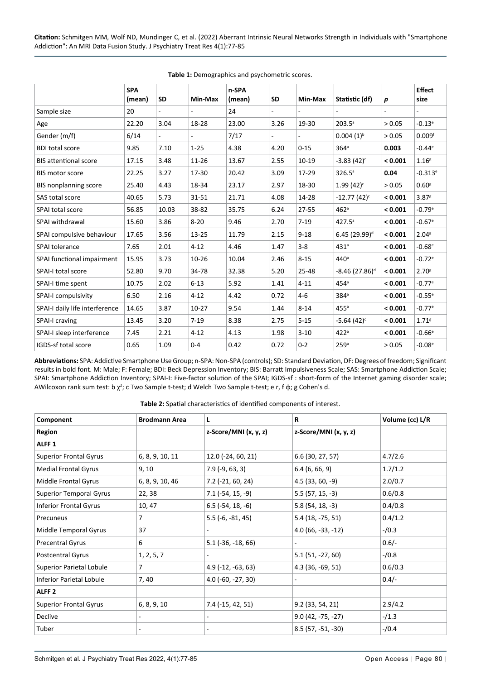**Citation:** Schmitgen MM, Wolf ND, Mundinger C, et al. (2022) Aberrant Intrinsic Neural Networks Strength in Individuals with "Smartphone Addiction": An MRI Data Fusion Study. J Psychiatry Treat Res 4(1):77-85

|                                | <b>SPA</b><br>(mean) | <b>SD</b>                   | Min-Max   | n-SPA<br>(mean) | <b>SD</b>      | Min-Max  | Statistic (df)               | $\boldsymbol{p}$ | <b>Effect</b><br>size |
|--------------------------------|----------------------|-----------------------------|-----------|-----------------|----------------|----------|------------------------------|------------------|-----------------------|
| Sample size                    | 20                   | $\mathcal{L}_{\mathcal{A}}$ | ÷,        | 24              | $\blacksquare$ | ÷.       | $\overline{a}$               |                  | $\blacksquare$        |
| Age                            | 22.20                | 3.04                        | 18-28     | 23.00           | 3.26           | 19-30    | $203.5^{\circ}$              | > 0.05           | $-0.13^{\circ}$       |
| Gender (m/f)                   | 6/14                 | $\blacksquare$              | ä,        | 7/17            |                | ÷.       | $0.004(1)^{b}$               | > 0.05           | 0.009 <sup>f</sup>    |
| <b>BDI total score</b>         | 9.85                 | 7.10                        | $1 - 25$  | 4.38            | 4.20           | $0 - 15$ | 364 <sup>a</sup>             | 0.003            | $-0.44^{\circ}$       |
| <b>BIS attentional score</b>   | 17.15                | 3.48                        | 11-26     | 13.67           | 2.55           | $10-19$  | $-3.83(42)^c$                | < 0.001          | 1.16 <sup>g</sup>     |
| <b>BIS motor score</b>         | 22.25                | 3.27                        | 17-30     | 20.42           | 3.09           | 17-29    | $326.5^{\circ}$              | 0.04             | $-0.313$ <sup>e</sup> |
| <b>BIS nonplanning score</b>   | 25.40                | 4.43                        | 18-34     | 23.17           | 2.97           | 18-30    | $1.99(42)^c$                 | > 0.05           | 0.60 <sup>g</sup>     |
| SAS total score                | 40.65                | 5.73                        | $31 - 51$ | 21.71           | 4.08           | 14-28    | $-12.77(42)^c$               | < 0.001          | $3.87$ <sup>g</sup>   |
| SPAI total score               | 56.85                | 10.03                       | 38-82     | 35.75           | 6.24           | 27-55    | 462 <sup>a</sup>             | < 0.001          | $-0.79e$              |
| SPAI withdrawal                | 15.60                | 3.86                        | $8 - 20$  | 9.46            | 2.70           | $7 - 19$ | $427.5^{\circ}$              | < 0.001          | $-0.67$ <sup>e</sup>  |
| SPAI compulsive behaviour      | 17.65                | 3.56                        | $13 - 25$ | 11.79           | 2.15           | $9 - 18$ | $6.45(29.99)^d$              | < 0.001          | 2.04 <sup>g</sup>     |
| SPAI tolerance                 | 7.65                 | 2.01                        | $4 - 12$  | 4.46            | 1.47           | $3 - 8$  | 431 <sup>a</sup>             | < 0.001          | $-0.68^{\circ}$       |
| SPAI functional impairment     | 15.95                | 3.73                        | $10 - 26$ | 10.04           | 2.46           | $8 - 15$ | 440 <sup>a</sup>             | < 0.001          | $-0.72$ <sup>e</sup>  |
| SPAI-I total score             | 52.80                | 9.70                        | 34-78     | 32.38           | 5.20           | 25-48    | $-8.46$ (27.86) <sup>d</sup> | < 0.001          | 2.70 <sup>g</sup>     |
| SPAI-I time spent              | 10.75                | 2.02                        | $6 - 13$  | 5.92            | 1.41           | $4 - 11$ | 454 <sup>a</sup>             | < 0.001          | $-0.77$ <sup>e</sup>  |
| SPAI-I compulsivity            | 6.50                 | 2.16                        | $4 - 12$  | 4.42            | 0.72           | $4 - 6$  | 384 <sup>a</sup>             | < 0.001          | $-0.55^{\circ}$       |
| SPAI-I daily life interference | 14.65                | 3.87                        | $10-27$   | 9.54            | 1.44           | $8 - 14$ | $455$ <sup>a</sup>           | < 0.001          | $-0.77$ <sup>e</sup>  |
| SPAI-I craving                 | 13.45                | 3.20                        | $7 - 19$  | 8.38            | 2.75           | $5 - 15$ | $-5.64(42)^c$                | < 0.001          | 1.71 <sup>g</sup>     |
| SPAI-I sleep interference      | 7.45                 | 2.21                        | $4 - 12$  | 4.13            | 1.98           | $3 - 10$ | 422 <sup>a</sup>             | < 0.001          | $-0.66e$              |
| IGDS-sf total score            | 0.65                 | 1.09                        | $0 - 4$   | 0.42            | 0.72           | $0 - 2$  | 259 <sup>a</sup>             | > 0.05           | $-0.08^{\rm e}$       |

<span id="page-3-0"></span>**Table 1:** Demographics and psychometric scores.

**Abbreviations:** SPA: Addictive Smartphone Use Group; n-SPA: Non-SPA (controls); SD: Standard Deviation, DF: Degrees of freedom; Significant results in bold font. M: Male; F: Female; BDI: Beck Depression Inventory; BIS: Barratt Impulsiveness Scale; SAS: Smartphone Addiction Scale; SPAI: Smartphone Addiction Inventory; SPAI-I: Five-factor solution of the SPAI; IGDS-sf : short-form of the Internet gaming disorder scale; AWilcoxon rank sum test: b  $\chi^2$ ; c Two Sample t-test; d Welch Two Sample t-test; e r, f  $\varphi$ ; g Cohen's d.

<span id="page-3-1"></span>**Table 2:** Spatial characteristics of identified components of interest.

| Component                       | <b>Brodmann Area</b> | L                       | R                       | Volume (cc) L/R |
|---------------------------------|----------------------|-------------------------|-------------------------|-----------------|
| <b>Region</b>                   |                      | z-Score/MNI $(x, y, z)$ | z-Score/MNI $(x, y, z)$ |                 |
| ALFF <sub>1</sub>               |                      |                         |                         |                 |
| <b>Superior Frontal Gyrus</b>   | 6, 8, 9, 10, 11      | 12.0 (-24, 60, 21)      | 6.6 (30, 27, 57)        | 4.7/2.6         |
| <b>Medial Frontal Gyrus</b>     | 9, 10                | $7.9(-9, 63, 3)$        | 6.4(6, 66, 9)           | 1.7/1.2         |
| Middle Frontal Gyrus            | 6, 8, 9, 10, 46      | 7.2 (-21, 60, 24)       | $4.5(33, 60, -9)$       | 2.0/0.7         |
| <b>Superior Temporal Gyrus</b>  | 22, 38               | $7.1$ (-54, 15, -9)     | $5.5(57, 15, -3)$       | 0.6/0.8         |
| <b>Inferior Frontal Gyrus</b>   | 10, 47               | $6.5$ (-54, 18, -6)     | $5.8(54, 18, -3)$       | 0.4/0.8         |
| Precuneus                       | 7                    | $5.5(-6, -81, 45)$      | 5.4 (18, -75, 51)       | 0.4/1.2         |
| Middle Temporal Gyrus           | 37                   |                         | $4.0(66, -33, -12)$     | $-$ /0.3        |
| <b>Precentral Gyrus</b>         | 6                    | $5.1$ (-36, -18, 66)    |                         | $0.6/-$         |
| <b>Postcentral Gyrus</b>        | 1, 2, 5, 7           |                         | $5.1(51, -27, 60)$      | $-/0.8$         |
| <b>Superior Parietal Lobule</b> | 7                    | $4.9$ (-12, -63, 63)    | $4.3(36,-69,51)$        | 0.6/0.3         |
| <b>Inferior Parietal Lobule</b> | 7, 40                | $4.0$ (-60, -27, 30)    |                         | $0.4/-$         |
| ALFF <sub>2</sub>               |                      |                         |                         |                 |
| <b>Superior Frontal Gyrus</b>   | 6, 8, 9, 10          | $7.4$ ( $-15, 42, 51$ ) | 9.2(33, 54, 21)         | 2.9/4.2         |
| Declive                         |                      |                         | $9.0(42, -75, -27)$     | $-1.3$          |
| Tuber                           |                      | ٠                       | $8.5(57, -51, -30)$     | $-10.4$         |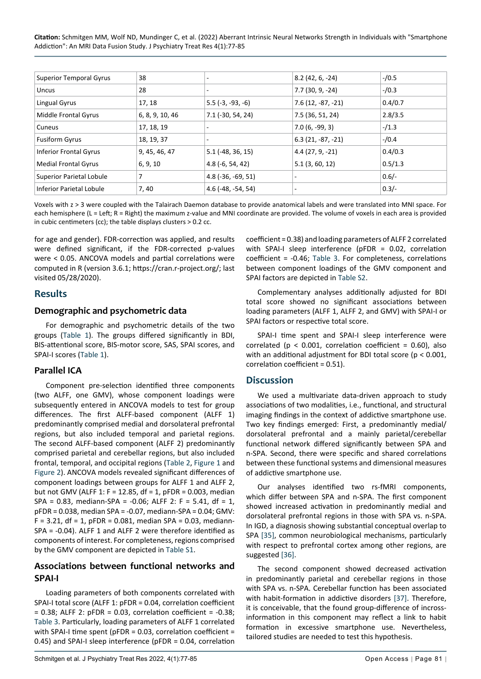**Citation:** Schmitgen MM, Wolf ND, Mundinger C, et al. (2022) Aberrant Intrinsic Neural Networks Strength in Individuals with "Smartphone Addiction": An MRI Data Fusion Study. J Psychiatry Treat Res 4(1):77-85

| <b>Superior Temporal Gyrus</b>  | 38              | $\overline{\phantom{a}}$ | $8.2(42, 6, -24)$   | $-10.5$ |
|---------------------------------|-----------------|--------------------------|---------------------|---------|
| Uncus                           | 28              | $\sim$                   | 7.7 (30, 9, -24)    | $-10.3$ |
| Lingual Gyrus                   | 17, 18          | $5.5(-3, -93, -6)$       | $7.6(12, -87, -21)$ | 0.4/0.7 |
| Middle Frontal Gyrus            | 6, 8, 9, 10, 46 | 7.1 (-30, 54, 24)        | 7.5 (36, 51, 24)    | 2.8/3.5 |
| Cuneus                          | 17, 18, 19      |                          | $7.0(6, -99, 3)$    | $-/1.3$ |
| <b>Fusiform Gyrus</b>           | 18, 19, 37      | $\overline{\phantom{a}}$ | $6.3(21, -87, -21)$ | $-10.4$ |
| <b>Inferior Frontal Gyrus</b>   | 9, 45, 46, 47   | $5.1$ (-48, 36, 15)      | $4.4(27, 9, -21)$   | 0.4/0.3 |
| <b>Medial Frontal Gyrus</b>     | 6, 9, 10        | $4.8(-6, 54, 42)$        | 5.1(3, 60, 12)      | 0.5/1.3 |
| <b>Superior Parietal Lobule</b> |                 | $4.8(-36, -69, 51)$      |                     | $0.6/-$ |
| <b>Inferior Parietal Lobule</b> | 7,40            | $4.6$ (-48, -54, 54)     | ٠                   | $0.3/-$ |

Voxels with z > 3 were coupled with the Talairach Daemon database to provide anatomical labels and were translated into MNI space. For each hemisphere (L = Left; R = Right) the maximum z-value and MNI coordinate are provided. The volume of voxels in each area is provided in cubic centimeters (cc); the table displays clusters > 0.2 cc.

for age and gender). FDR-correction was applied, and results were defined significant, if the FDR-corrected p-values were < 0.05. ANCOVA models and partial correlations were computed in R (version 3.6.1; https://cran.r-project.org/; last visited 05/28/2020).

#### **Results**

#### **Demographic and psychometric data**

For demographic and psychometric details of the two groups [\(Table 1\)](#page-3-0). The groups differed significantly in BDI, BIS-attentional score, BIS-motor score, SAS, SPAI scores, and SPAI-I scores ([Table 1](#page-3-0)).

#### **Parallel ICA**

Component pre-selection identified three components (two ALFF, one GMV), whose component loadings were subsequently entered in ANCOVA models to test for group differences. The first ALFF-based component (ALFF 1) predominantly comprised medial and dorsolateral prefrontal regions, but also included temporal and parietal regions. The second ALFF-based component (ALFF 2) predominantly comprised parietal and cerebellar regions, but also included frontal, temporal, and occipital regions [\(Table 2](#page-3-1), [Figure 1](#page-5-1) and [Figure 2](#page-6-0)). ANCOVA models revealed significant differences of component loadings between groups for ALFF 1 and ALFF 2, but not GMV (ALFF 1: F = 12.85, df = 1, pFDR = 0.003, median  $SPA = 0.83$ , mediann- $SPA = -0.06$ ; ALFF 2: F = 5.41, df = 1, pFDR = 0.038, median SPA = -0.07, mediann-SPA = 0.04; GMV:  $F = 3.21$ , df = 1, pFDR = 0.081, median SPA = 0.03, mediann-SPA = -0.04). ALFF 1 and ALFF 2 were therefore identified as components of interest. For completeness, regions comprised by the GMV component are depicted in [Table S1](https://www.scholars.direct/Articles/psychiatry/jptr-4-012-supply-file.doc).

#### **Associations between functional networks and SPAI-I**

Loading parameters of both components correlated with SPAI-I total score (ALFF 1: pFDR = 0.04, correlation coefficient  $= 0.38$ ; ALFF 2: pFDR  $= 0.03$ , correlation coefficient  $= -0.38$ ; [Table 3](#page-5-0). Particularly, loading parameters of ALFF 1 correlated with SPAI-I time spent (pFDR = 0.03, correlation coefficient = 0.45) and SPAI-I sleep interference (pFDR = 0.04, correlation

coefficient = 0.38) and loading parameters of ALFF 2 correlated with SPAI-I sleep interference (pFDR = 0.02, correlation coefficient = -0.46; [Table 3](#page-5-0). For completeness, correlations between component loadings of the GMV component and SPAI factors are depicted in [Table S2](https://www.scholars.direct/Articles/psychiatry/jptr-4-012-supply-file.doc).

Complementary analyses additionally adjusted for BDI total score showed no significant associations between loading parameters (ALFF 1, ALFF 2, and GMV) with SPAI-I or SPAI factors or respective total score.

SPAI-I time spent and SPAI-I sleep interference were correlated ( $p < 0.001$ , correlation coefficient = 0.60), also with an additional adjustment for BDI total score (p < 0.001, correlation coefficient = 0.51).

#### **Discussion**

We used a multivariate data-driven approach to study associations of two modalities, i.e., functional, and structural imaging findings in the context of addictive smartphone use. Two key findings emerged: First, a predominantly medial/ dorsolateral prefrontal and a mainly parietal/cerebellar functional network differed significantly between SPA and n-SPA. Second, there were specific and shared correlations between these functional systems and dimensional measures of addictive smartphone use.

Our analyses identified two rs-fMRI components, which differ between SPA and n-SPA. The first component showed increased activation in predominantly medial and dorsolateral prefrontal regions in those with SPA vs. n-SPA. In IGD, a diagnosis showing substantial conceptual overlap to SPA [\[35\]](#page-8-25), common neurobiological mechanisms, particularly with respect to prefrontal cortex among other regions, are suggested [\[36](#page-8-26)].

The second component showed decreased activation in predominantly parietal and cerebellar regions in those with SPA vs. n-SPA. Cerebellar function has been associated with habit-formation in addictive disorders [[37\]](#page-8-27). Therefore, it is conceivable, that the found group-difference of incrossinformation in this component may reflect a link to habit formation in excessive smartphone use. Nevertheless, tailored studies are needed to test this hypothesis.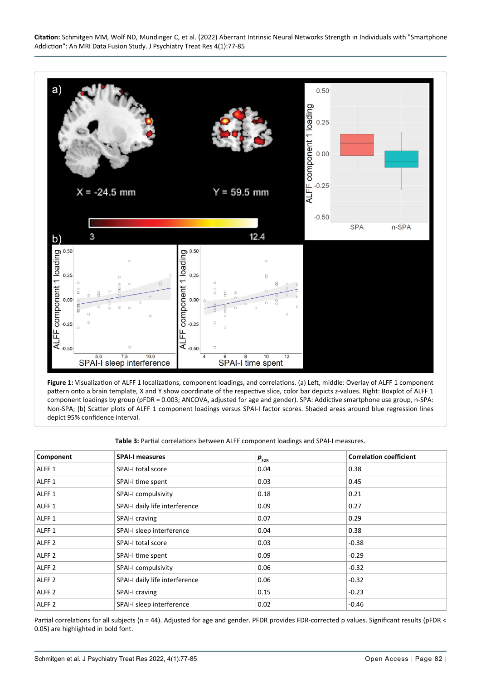**Citation:** Schmitgen MM, Wolf ND, Mundinger C, et al. (2022) Aberrant Intrinsic Neural Networks Strength in Individuals with "Smartphone Addiction": An MRI Data Fusion Study. J Psychiatry Treat Res 4(1):77-85

<span id="page-5-1"></span>

**Figure 1:** Visualization of ALFF 1 localizations, component loadings, and correlations. (a) Left, middle: Overlay of ALFF 1 component pattern onto a brain template, X and Y show coordinate of the respective slice, color bar depicts z-values. Right: Boxplot of ALFF 1 component loadings by group (pFDR = 0.003; ANCOVA, adjusted for age and gender). SPA: Addictive smartphone use group, n-SPA: Non-SPA; (b) Scatter plots of ALFF 1 component loadings versus SPAI-I factor scores. Shaded areas around blue regression lines depict 95% confidence interval.

<span id="page-5-0"></span>**Table 3:** Partial correlations between ALFF component loadings and SPAI-I measures.

| Component         | <b>SPAI-I measures</b>         | $\bm{p}_{_{\sf FDR}}$ | <b>Correlation coefficient</b> |
|-------------------|--------------------------------|-----------------------|--------------------------------|
| ALFF <sub>1</sub> | SPAI-I total score             | 0.04                  | 0.38                           |
| ALFF <sub>1</sub> | SPAI-I time spent              | 0.03                  | 0.45                           |
| ALFF <sub>1</sub> | SPAI-I compulsivity            | 0.18                  | 0.21                           |
| ALFF <sub>1</sub> | SPAI-I daily life interference | 0.09                  | 0.27                           |
| ALFF <sub>1</sub> | SPAI-I craving                 | 0.07                  | 0.29                           |
| ALFF <sub>1</sub> | SPAI-I sleep interference      | 0.04                  | 0.38                           |
| ALFF <sub>2</sub> | SPAI-I total score             | 0.03                  | $-0.38$                        |
| ALFF <sub>2</sub> | SPAI-I time spent              | 0.09                  | $-0.29$                        |
| ALFF <sub>2</sub> | SPAI-I compulsivity            | 0.06                  | $-0.32$                        |
| ALFF <sub>2</sub> | SPAI-I daily life interference | 0.06                  | $-0.32$                        |
| ALFF <sub>2</sub> | SPAI-I craving                 | 0.15                  | $-0.23$                        |
| ALFF <sub>2</sub> | SPAI-I sleep interference      | 0.02                  | $-0.46$                        |

Partial correlations for all subjects (n = 44). Adjusted for age and gender. PFDR provides FDR-corrected p values. Significant results (pFDR < 0.05) are highlighted in bold font.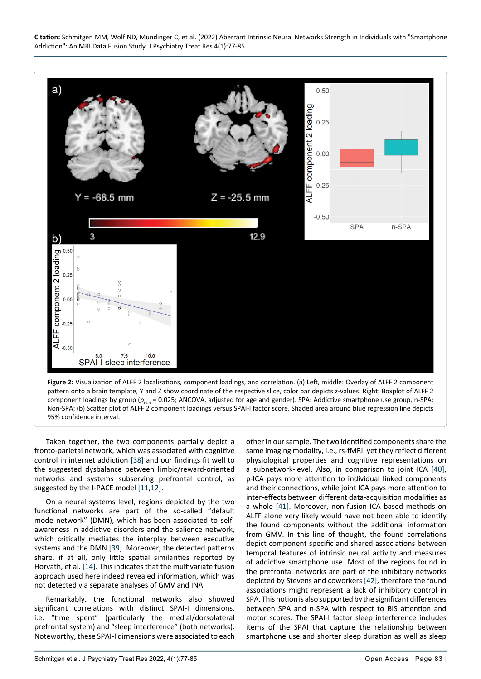

**Figure 2:** Visualization of ALFF 2 localizations, component loadings, and correlation. (a) Left, middle: Overlay of ALFF 2 component pattern onto a brain template, Y and Z show coordinate of the respective slice, color bar depicts z-values. Right: Boxplot of ALFF 2 component loadings by group ( $p_{FDR}$  = 0.025; ANCOVA, adjusted for age and gender). SPA: Addictive smartphone use group, n-SPA: Non-SPA; (b) Scatter plot of ALFF 2 component loadings versus SPAI-I factor score. Shaded area around blue regression line depicts 95% confidence interval.

Taken together, the two components partially depict a fronto-parietal network, which was associated with cognitive control in internet addiction [[38\]](#page-8-31) and our findings fit well to the suggested dysbalance between limbic/reward-oriented networks and systems subserving prefrontal control, as suggested by the I-PACE model [[11](#page-8-1)[,12\]](#page-8-2).

<span id="page-6-0"></span>Ĩ

On a neural systems level, regions depicted by the two functional networks are part of the so-called "default mode network" (DMN), which has been associated to selfawareness in addictive disorders and the salience network, which critically mediates the interplay between executive systems and the DMN [\[39](#page-8-32)]. Moreover, the detected patterns share, if at all, only little spatial similarities reported by Horvath, et al. [\[14](#page-8-4)]. This indicates that the multivariate fusion approach used here indeed revealed information, which was not detected via separate analyses of GMV and INA.

Remarkably, the functional networks also showed significant correlations with distinct SPAI-I dimensions, i.e. "time spent" (particularly the medial/dorsolateral prefrontal system) and "sleep interference" (both networks). Noteworthy, these SPAI-I dimensions were associated to each

other in our sample. The two identified components share the same imaging modality, i.e., rs-fMRI, yet they reflect different physiological properties and cognitive representations on a subnetwork-level. Also, in comparison to joint ICA [\[40](#page-8-28)], p-ICA pays more attention to individual linked components and their connections, while joint ICA pays more attention to inter-effects between different data-acquisition modalities as a whole [[41\]](#page-8-29). Moreover, non-fusion ICA based methods on ALFF alone very likely would have not been able to identify the found components without the additional information from GMV. In this line of thought, the found correlations depict component specific and shared associations between temporal features of intrinsic neural activity and measures of addictive smartphone use. Most of the regions found in the prefrontal networks are part of the inhibitory networks depicted by Stevens and coworkers [[42\]](#page-8-30), therefore the found associations might represent a lack of inhibitory control in SPA. This notion is also supported by the significant differences between SPA and n-SPA with respect to BIS attention and motor scores. The SPAI-I factor sleep interference includes items of the SPAI that capture the relationship between smartphone use and shorter sleep duration as well as sleep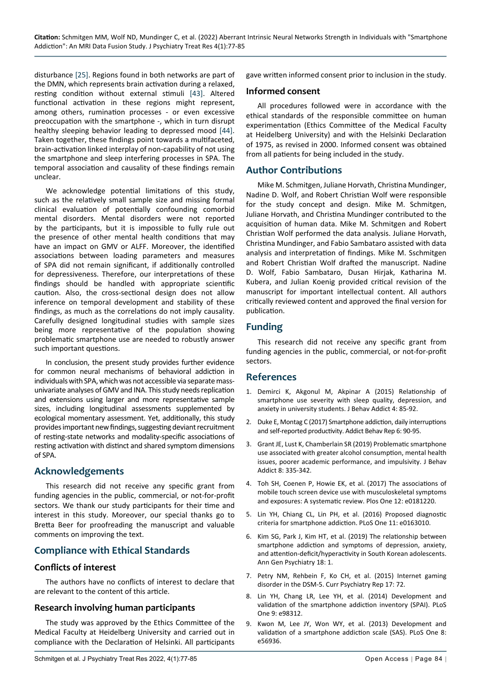disturbance [\[25](#page-8-14)]. Regions found in both networks are part of the DMN, which represents brain activation during a relaxed, resting condition without external stimuli [\[43](#page-8-33)]. Altered functional activation in these regions might represent, among others, rumination processes - or even excessive preoccupation with the smartphone -, which in turn disrupt healthy sleeping behavior leading to depressed mood [[44\]](#page-8-34). Taken together, these findings point towards a multifaceted, brain-activation linked interplay of non-capability of not using the smartphone and sleep interfering processes in SPA. The temporal association and causality of these findings remain unclear.

We acknowledge potential limitations of this study, such as the relatively small sample size and missing formal clinical evaluation of potentially confounding comorbid mental disorders. Mental disorders were not reported by the participants, but it is impossible to fully rule out the presence of other mental health conditions that may have an impact on GMV or ALFF. Moreover, the identified associations between loading parameters and measures of SPA did not remain significant, if additionally controlled for depressiveness. Therefore, our interpretations of these findings should be handled with appropriate scientific caution. Also, the cross-sectional design does not allow inference on temporal development and stability of these findings, as much as the correlations do not imply causality. Carefully designed longitudinal studies with sample sizes being more representative of the population showing problematic smartphone use are needed to robustly answer such important questions.

In conclusion, the present study provides further evidence for common neural mechanisms of behavioral addiction in individuals with SPA, which was not accessible via separate massunivariate analyses of GMV and INA. This study needs replication and extensions using larger and more representative sample sizes, including longitudinal assessments supplemented by ecological momentary assessment. Yet, additionally, this study provides important new findings, suggesting deviant recruitment of resting-state networks and modality-specific associations of resting activation with distinct and shared symptom dimensions of SPA.

#### **Acknowledgements**

This research did not receive any specific grant from funding agencies in the public, commercial, or not-for-profit sectors. We thank our study participants for their time and interest in this study. Moreover, our special thanks go to Bretta Beer for proofreading the manuscript and valuable comments on improving the text.

### **Compliance with Ethical Standards**

#### **Conflicts of interest**

The authors have no conflicts of interest to declare that are relevant to the content of this article.

#### **Research involving human participants**

The study was approved by the Ethics Committee of the Medical Faculty at Heidelberg University and carried out in compliance with the Declaration of Helsinki. All participants gave written informed consent prior to inclusion in the study.

#### **Informed consent**

All procedures followed were in accordance with the ethical standards of the responsible committee on human experimentation (Ethics Committee of the Medical Faculty at Heidelberg University) and with the Helsinki Declaration of 1975, as revised in 2000. Informed consent was obtained from all patients for being included in the study.

#### **Author Contributions**

Mike M. Schmitgen, Juliane Horvath, Christina Mundinger, Nadine D. Wolf, and Robert Christian Wolf were responsible for the study concept and design. Mike M. Schmitgen, Juliane Horvath, and Christina Mundinger contributed to the acquisition of human data. Mike M. Schmitgen and Robert Christian Wolf performed the data analysis. Juliane Horvath, Christina Mundinger, and Fabio Sambataro assisted with data analysis and interpretation of findings. Mike M. Sschmitgen and Robert Christian Wolf drafted the manuscript. Nadine D. Wolf, Fabio Sambataro, Dusan Hirjak, Katharina M. Kubera, and Julian Koenig provided critical revision of the manuscript for important intellectual content. All authors critically reviewed content and approved the final version for publication.

#### **Funding**

This research did not receive any specific grant from funding agencies in the public, commercial, or not-for-profit sectors.

#### **References**

- <span id="page-7-0"></span>1. [Demirci K, Akgonul M, Akpinar A \(2015\) Relationship of](https://pubmed.ncbi.nlm.nih.gov/26132913/)  [smartphone use severity with sleep quality, depression, and](https://pubmed.ncbi.nlm.nih.gov/26132913/)  [anxiety in university students. J Behav Addict 4: 85-92.](https://pubmed.ncbi.nlm.nih.gov/26132913/)
- 2. [Duke E, Montag C \(2017\) Smartphone addiction, daily interruptions](https://pubmed.ncbi.nlm.nih.gov/29450241/)  [and self-reported productivity. Addict Behav Rep 6: 90-95.](https://pubmed.ncbi.nlm.nih.gov/29450241/)
- 3. [Grant JE, Lust K, Chamberlain SR \(2019\) Problematic smartphone](https://pubmed.ncbi.nlm.nih.gov/31257917/)  [use associated with greater alcohol consumption, mental health](https://pubmed.ncbi.nlm.nih.gov/31257917/)  [issues, poorer academic performance, and impulsivity. J Behav](https://pubmed.ncbi.nlm.nih.gov/31257917/)  [Addict 8: 335-342.](https://pubmed.ncbi.nlm.nih.gov/31257917/)
- <span id="page-7-1"></span>4. [Toh SH, Coenen P, Howie EK, et al. \(2017\) The associations of](https://pubmed.ncbi.nlm.nih.gov/28787453/)  [mobile touch screen device use with musculoskeletal symptoms](https://pubmed.ncbi.nlm.nih.gov/28787453/)  [and exposures: A systematic review. Plos One 12: e0181220.](https://pubmed.ncbi.nlm.nih.gov/28787453/)
- <span id="page-7-2"></span>5. [Lin YH, Chiang CL, Lin PH, et al. \(2016\) Proposed diagnostic](https://pubmed.ncbi.nlm.nih.gov/27846211/)  [criteria for smartphone addiction. PLoS One 11: e0163010.](https://pubmed.ncbi.nlm.nih.gov/27846211/)
- <span id="page-7-3"></span>6. [Kim SG, Park J, Kim HT, et al. \(2019\) The relationship between](https://pubmed.ncbi.nlm.nih.gov/30899316/)  [smartphone addiction and symptoms of depression, anxiety,](https://pubmed.ncbi.nlm.nih.gov/30899316/)  [and attention-deficit/hyperactivity in South Korean adolescents.](https://pubmed.ncbi.nlm.nih.gov/30899316/)  [Ann Gen Psychiatry 18: 1.](https://pubmed.ncbi.nlm.nih.gov/30899316/)
- <span id="page-7-4"></span>7. [Petry NM, Rehbein F, Ko CH, et al. \(2015\) Internet gaming](https://pubmed.ncbi.nlm.nih.gov/26216590/)  [disorder in the DSM-5. Curr Psychiatry Rep 17: 72.](https://pubmed.ncbi.nlm.nih.gov/26216590/)
- <span id="page-7-5"></span>8. [Lin YH, Chang LR, Lee YH, et al. \(2014\) Development and](https://pubmed.ncbi.nlm.nih.gov/24896252/)  [validation of the smartphone addiction inventory \(SPAI\). PLoS](https://pubmed.ncbi.nlm.nih.gov/24896252/)  [One 9: e98312.](https://pubmed.ncbi.nlm.nih.gov/24896252/)
- <span id="page-7-6"></span>9. [Kwon M, Lee JY, Won WY, et al. \(2013\) Development and](https://pubmed.ncbi.nlm.nih.gov/23468893/)  [validation of a smartphone addiction scale \(SAS\). PLoS One 8:](https://pubmed.ncbi.nlm.nih.gov/23468893/)  [e56936.](https://pubmed.ncbi.nlm.nih.gov/23468893/)